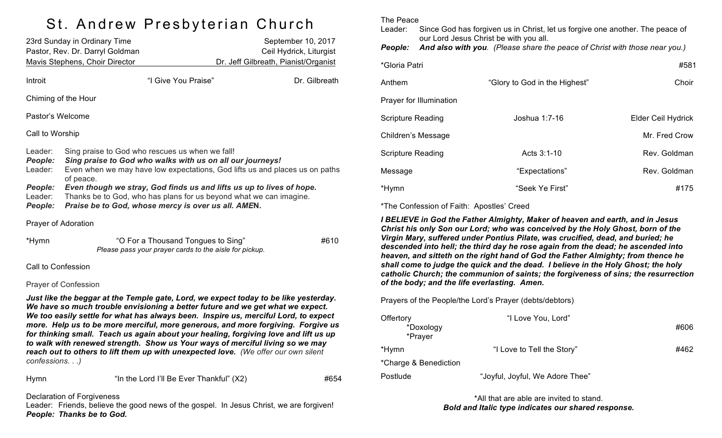## St. Andrew Presbyterian Church

| 23rd Sunday in Ordinary Time                                      |                                                                                                                                                                                                                                                                                                                                                                                                               |                                                                                              | September 10, 2017                                                                                                                                                                                                                                           |               |  |
|-------------------------------------------------------------------|---------------------------------------------------------------------------------------------------------------------------------------------------------------------------------------------------------------------------------------------------------------------------------------------------------------------------------------------------------------------------------------------------------------|----------------------------------------------------------------------------------------------|--------------------------------------------------------------------------------------------------------------------------------------------------------------------------------------------------------------------------------------------------------------|---------------|--|
| Pastor, Rev. Dr. Darryl Goldman<br>Mavis Stephens, Choir Director |                                                                                                                                                                                                                                                                                                                                                                                                               | Ceil Hydrick, Liturgist<br>Dr. Jeff Gilbreath, Pianist/Organist                              |                                                                                                                                                                                                                                                              |               |  |
|                                                                   |                                                                                                                                                                                                                                                                                                                                                                                                               |                                                                                              |                                                                                                                                                                                                                                                              |               |  |
| Introit                                                           |                                                                                                                                                                                                                                                                                                                                                                                                               | "I Give You Praise"                                                                          |                                                                                                                                                                                                                                                              | Dr. Gilbreath |  |
|                                                                   | Chiming of the Hour                                                                                                                                                                                                                                                                                                                                                                                           |                                                                                              |                                                                                                                                                                                                                                                              |               |  |
| Pastor's Welcome                                                  |                                                                                                                                                                                                                                                                                                                                                                                                               |                                                                                              |                                                                                                                                                                                                                                                              |               |  |
| Call to Worship                                                   |                                                                                                                                                                                                                                                                                                                                                                                                               |                                                                                              |                                                                                                                                                                                                                                                              |               |  |
| Leader:<br>People:<br>Leader:<br>People:<br>Leader:<br>People:    | Sing praise to God who rescues us when we fall!<br>Sing praise to God who walks with us on all our journeys!<br>Even when we may have low expectations, God lifts us and places us on paths<br>of peace.<br>Even though we stray, God finds us and lifts us up to lives of hope.<br>Thanks be to God, who has plans for us beyond what we can imagine.<br>Praise be to God, whose mercy is over us all. AMEN. |                                                                                              |                                                                                                                                                                                                                                                              |               |  |
| Prayer of Adoration                                               |                                                                                                                                                                                                                                                                                                                                                                                                               |                                                                                              |                                                                                                                                                                                                                                                              |               |  |
| *Hymn                                                             |                                                                                                                                                                                                                                                                                                                                                                                                               | "O For a Thousand Tongues to Sing"<br>Please pass your prayer cards to the aisle for pickup. |                                                                                                                                                                                                                                                              | #610          |  |
| Call to Confession                                                |                                                                                                                                                                                                                                                                                                                                                                                                               |                                                                                              |                                                                                                                                                                                                                                                              |               |  |
|                                                                   | <b>Prayer of Confession</b>                                                                                                                                                                                                                                                                                                                                                                                   |                                                                                              |                                                                                                                                                                                                                                                              |               |  |
|                                                                   |                                                                                                                                                                                                                                                                                                                                                                                                               |                                                                                              | Just like the beggar at the Temple gate, Lord, we expect today to be like yesterday.<br>We have so much trouble envisioning a better future and we get what we expect.<br>We too ossily softle for what has always hoon, Inspire us moreiful Lord, to expect |               |  |

*We too easily settle for what has always been. Inspire us, merciful Lord, to expect more. Help us to be more merciful, more generous, and more forgiving. Forgive us for thinking small. Teach us again about your healing, forgiving love and lift us up to walk with renewed strength. Show us Your ways of merciful living so we may reach out to others to lift them up with unexpected love. (We offer our own silent confessions. . .)*

Hymn "In the Lord I'll Be Ever Thankful" (X2) #654

Declaration of Forgiveness

Leader: Friends, believe the good news of the gospel. In Jesus Christ, we are forgiven! *People: Thanks be to God.*

The Peace

Leader: Since God has forgiven us in Christ, let us forgive one another. The peace of our Lord Jesus Christ be with you all.

*People: And also with you. (Please share the peace of Christ with those near you.)*

| *Gloria Patri            |                               | #581               |
|--------------------------|-------------------------------|--------------------|
| Anthem                   | "Glory to God in the Highest" | Choir              |
| Prayer for Illumination  |                               |                    |
| <b>Scripture Reading</b> | Joshua 1:7-16                 | Elder Ceil Hydrick |
| Children's Message       |                               | Mr. Fred Crow      |
| <b>Scripture Reading</b> | Acts 3:1-10                   | Rev. Goldman       |
| Message                  | "Expectations"                | Rev. Goldman       |
| *Hymn                    | "Seek Ye First"               | #175               |

\*The Confession of Faith: Apostles' Creed

*I BELIEVE in God the Father Almighty, Maker of heaven and earth, and in Jesus Christ his only Son our Lord; who was conceived by the Holy Ghost, born of the Virgin Mary, suffered under Pontius Pilate, was crucified, dead, and buried; he descended into hell; the third day he rose again from the dead; he ascended into heaven, and sitteth on the right hand of God the Father Almighty; from thence he shall come to judge the quick and the dead. I believe in the Holy Ghost; the holy catholic Church; the communion of saints; the forgiveness of sins; the resurrection of the body; and the life everlasting. Amen.*

Prayers of the People/the Lord's Prayer (debts/debtors)

| Offertory<br>*Doxology<br>*Prayer | "I Love You, Lord"              | #606 |
|-----------------------------------|---------------------------------|------|
| *Hymn                             | "I Love to Tell the Story"      | #462 |
| *Charge & Benediction             |                                 |      |
| Postlude                          | "Joyful, Joyful, We Adore Thee" |      |

\*All that are able are invited to stand. *Bold and Italic type indicates our shared response.*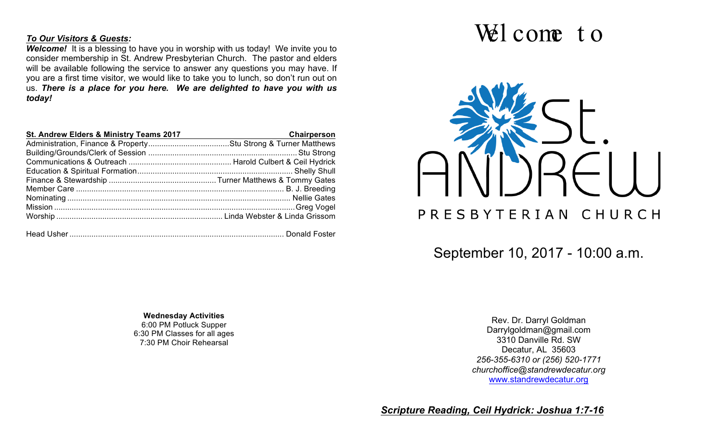## *To Our Visitors & Guests:*

**Welcome!** It is a blessing to have you in worship with us today! We invite you to consider membership in St. Andrew Presbyterian Church. The pastor and elders will be available following the service to answer any questions you may have. If you are a first time visitor, we would like to take you to lunch, so don't run out on us. *There is a place for you here. We are delighted to have you with us today!*

| St. Andrew Elders & Ministry Teams 2017 | Chairperson |
|-----------------------------------------|-------------|
|                                         |             |
|                                         |             |
|                                         |             |
|                                         |             |
|                                         |             |
|                                         |             |
|                                         |             |
|                                         |             |
|                                         |             |
|                                         |             |
|                                         |             |

## Wel come to



September 10, 2017 - 10:00 a.m.

**Wednesday Activities** 6:00 PM Potluck Supper 6:30 PM Classes for all ages 7:30 PM Choir Rehearsal

Rev. Dr. Darryl Goldman Darrylgoldman@gmail.com 3310 Danville Rd. SW Decatur, AL 35603 *256-355-6310 or (256) 520-1771 churchoffice@standrewdecatur.org* www.standrewdecatur.org

*Scripture Reading, Ceil Hydrick: Joshua 1:7-16*